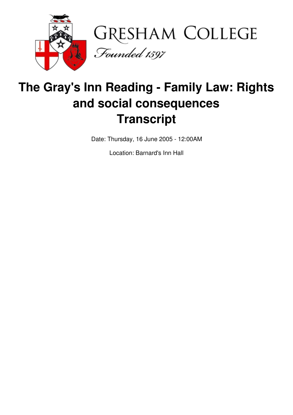

# **The Gray's Inn Reading - Family Law: Rights and social consequences Transcript**

Date: Thursday, 16 June 2005 - 12:00AM

Location: Barnard's Inn Hall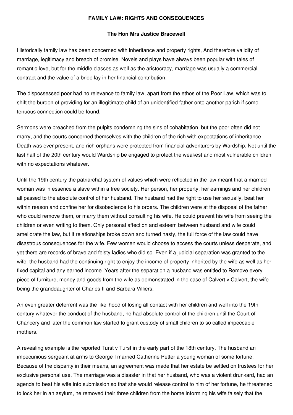## **FAMILY LAW: RIGHTS AND CONSEQUENCES**

#### **The Hon Mrs Justice Bracewell**

Historically family law has been concerned with inheritance and property rights, And therefore validity of marriage, legitimacy and breach of promise. Novels and plays have always been popular with tales of romantic love, but for the middle classes as well as the aristocracy, marriage was usually a commercial contract and the value of a bride lay in her financial contribution.

The dispossessed poor had no relevance to family law, apart from the ethos of the Poor Law, which was to shift the burden of providing for an illegitimate child of an unidentified father onto another parish if some tenuous connection could be found.

Sermons were preached from the pulpits condemning the sins of cohabitation, but the poor often did not marry, and the courts concerned themselves with the children of the rich with expectations of inheritance. Death was ever present, and rich orphans were protected from financial adventurers by Wardship. Not until the last half of the 20th century would Wardship be engaged to protect the weakest and most vulnerable children with no expectations whatever.

Until the 19th century the patriarchal system of values which were reflected in the law meant that a married woman was in essence a slave within a free society. Her person, her property, her earnings and her children all passed to the absolute control of her husband. The husband had the right to use her sexually, beat her within reason and confine her for disobedience to his orders. The children were at the disposal of the father who could remove them, or marry them without consulting his wife. He could prevent his wife from seeing the children or even writing to them. Only personal affection and esteem between husband and wife could ameliorate the law, but if relationships broke down and turned nasty, the full force of the law could have disastrous consequences for the wife. Few women would choose to access the courts unless desperate, and yet there are records of brave and feisty ladies who did so. Even if a judicial separation was granted to the wife, the husband had the continuing right to enjoy the income of property inherited by the wife as well as her fixed capital and any earned income. Years after the separation a husband was entitled to Remove every piece of furniture, money and goods from the wife as demonstrated in the case of Calvert v Calvert, the wife being the granddaughter of Charles II and Barbara Villiers.

An even greater deterrent was the likelihood of losing all contact with her children and well into the 19th century whatever the conduct of the husband, he had absolute control of the children until the Court of Chancery and later the common law started to grant custody of small children to so called impeccable mothers.

A revealing example is the reported Turst v Turst in the early part of the 18th century. The husband an impecunious sergeant at arms to George I married Catherine Petter a young woman of some fortune. Because of the disparity in their means, an agreement was made that her estate be settled on trustees for her exclusive personal use. The marriage was a disaster in that her husband, who was a violent drunkard, had an agenda to beat his wife into submission so that she would release control to him of her fortune, he threatened to lock her in an asylum, he removed their three children from the home informing his wife falsely that the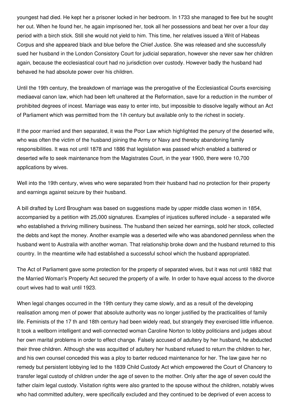youngest had died. He kept her a prisoner locked in her bedroom. In 1733 she managed to flee but he sought her out. When he found her, he again imprisoned her, took all her possessions and beat her over a four day period with a birch stick. Still she would not yield to him. This time, her relatives issued a Writ of Habeas Corpus and she appeared black and blue before the Chief Justice. She was released and she successfully sued her husband in the London Consistory Court for judicial separation, however she never saw her children again, because the ecclesiastical court had no jurisdiction over custody. However badly the husband had behaved he had absolute power over his children.

Until the 19th century, the breakdown of marriage was the prerogative of the Ecclesiastical Courts exercising mediaeval canon law, which had been left unaltered at the Reformation, save for a reduction in the number of prohibited degrees of incest. Marriage was easy to enter into, but impossible to dissolve legally without an Act of Parliament which was permitted from the 1ih century but available only to the richest in society.

If the poor married and then separated, it was the Poor Law which highlighted the penury of the deserted wife, who was often the victim of the husband joining the Army or Navy and thereby abandoning family responsibilities. It was not until 1878 and 1886 that legislation was passed which enabled a battered or deserted wife to seek maintenance from the Magistrates Court, in the year 1900, there were 10,700 applications by wives.

Well into the 19th century, wives who were separated from their husband had no protection for their property and earnings against seizure by their husband.

A bill drafted by Lord Brougham was based on suggestions made by upper middle class women in 1854, accompanied by a petition with 25,000 signatures. Examples of injustices suffered include - a separated wife who established a thriving millinery business. The husband then seized her earnings, sold her stock, collected the debts and kept the money. Another example was a deserted wife who was abandoned penniless when the husband went to Australia with another woman. That relationship broke down and the husband returned to this country. In the meantime wife had established a successful school which the husband appropriated.

The Act of Parliament gave some protection for the property of separated wives, but it was not until 1882 that the Married Woman's Property Act secured the property of a wife. In order to have equal access to the divorce court wives had to wait until 1923.

When legal changes occurred in the 19th century they came slowly, and as a result of the developing realisation among men of power that absolute authority was no longer justified by the practicalities of family life. Feminists of the 17 th and 18th century had been widely read, but strangely they exercised little influence. It took a wellborn intelligent and well-connected woman Caroline Norton to lobby politicians and judges about her own marital problems in order to effect change. Falsely accused of adultery by her husband, he abducted their three children. Although she was acquitted of adultery her husband refused to return the children to her, and his own counsel conceded this was a ploy to barter reduced maintenance for her. The law gave her no remedy but persistent lobbying led to the 1839 Child Custody Act which empowered the Court of Chancery to transfer legal custody of children under the age of seven to the mother. Only after the age of seven could the father claim legal custody. Visitation rights were also granted to the spouse without the children, notably wives who had committed adultery, were specifically excluded and they continued to be deprived of even access to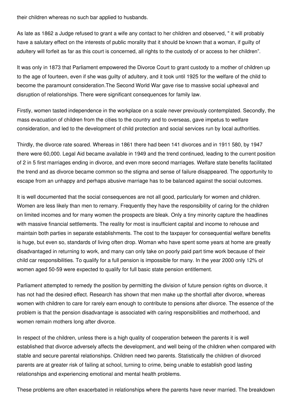their children whereas no such bar applied to husbands.

As late as 1862 a Judge refused to grant a wife any contact to her children and observed, " it will probably have a salutary effect on the interests of public morality that it should be known that a woman, if guilty of adultery will forfeit as far as this court is concerned, all rights to the custody of or access to her children".

It was only in 1873 that Parliament empowered the Divorce Court to grant custody to a mother of children up to the age of fourteen, even if she was guilty of adultery, and it took until 1925 for the welfare of the child to become the paramount consideration.The Second World War gave rise to massive social upheaval and disruption of relationships. There were significant consequences for family law.

Firstly, women tasted independence in the workplace on a scale never previously contemplated. Secondly, the mass evacuation of children from the cities to the country and to overseas, gave impetus to welfare consideration, and led to the development of child protection and social services run by local authorities.

Thirdly, the divorce rate soared. Whereas in 1861 there had been 141 divorces and in 1911 580, by 1947 there were 60,000. Legal Aid became available in 1949 and the trend continued, leading to the current position of 2 in 5 first marriages ending in divorce, and even more second marriages. Welfare state benefits facilitated the trend and as divorce became common so the stigma and sense of failure disappeared. The opportunity to escape from an unhappy and perhaps abusive marriage has to be balanced against the social outcomes.

It is well documented that the social consequences are not all good, particularly for women and children. Women are less likely than men to remarry. Frequently they have the responsibility of caring for the children on limited incomes and for many women the prospects are bleak. Only a tiny minority capture the headlines with massive financial settlements. The reality for most is insufficient capital and income to rehouse and maintain both parties in separate establishments. The cost to the taxpayer for consequential welfare benefits is huge, but even so, standards of living often drop. Woman who have spent some years at home are greatly disadvantaged in returning to work, and many can only take on poorly paid part time work because of their child car responsibilities. To qualify for a full pension is impossible for many. In the year 2000 only 12% of women aged 50-59 were expected to qualify for full basic state pension entitlement.

Parliament attempted to remedy the position by permitting the division of future pension rights on divorce, it has not had the desired effect. Research has shown that men make up the shortfall after divorce, whereas women with children to care for rarely earn enough to contribute to pensions after divorce. The essence of the problem is that the pension disadvantage is associated with caring responsibilities and motherhood, and women remain mothers long after divorce.

In respect of the children, unless there is a high quality of cooperation between the parents it is well established that divorce adversely affects the development, and well being of the children when compared with stable and secure parental relationships. Children need two parents. Statistically the children of divorced parents are at greater risk of failing at school, turning to crime, being unable to establish good lasting relationships and experiencing emotional and mental health problems.

These problems are often exacerbated in relationships where the parents have never married. The breakdown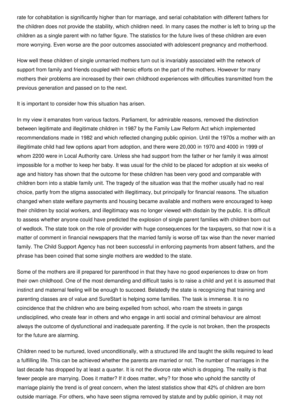rate for cohabitation is significantly higher than for marriage, and serial cohabitation with different fathers for the children does not provide the stability, which children need. In many cases the mother is left to bring up the children as a single parent with no father figure. The statistics for the future lives of these children are even more worrying. Even worse are the poor outcomes associated with adolescent pregnancy and motherhood.

How well these children of single unmarried mothers turn out is invariably associated with the network of support from family and friends coupled with heroic efforts on the part of the mothers. However for many mothers their problems are increased by their own childhood experiences with difficulties transmitted from the previous generation and passed on to the next.

It is important to consider how this situation has arisen.

In my view it emanates from various factors. Parliament, for admirable reasons, removed the distinction between legitimate and illegitimate children in 1987 by the Family Law Reform Act which implemented recommendations made in 1982 and which reflected changing public opinion. Until the 1970s a mother with an illegitimate child had few options apart from adoption, and there were 20,000 in 1970 and 4000 in 1999 of whom 2200 were in Local Authority care. Unless she had support from the father or her family it was almost impossible for a mother to keep her baby. It was usual for the child to be placed for adoption at six weeks of age and history has shown that the outcome for these children has been very good and comparable with children born into a stable family unit. The tragedy of the situation was that the mother usually had no real choice, partly from the stigma associated with illegitimacy, but principally for financial reasons. The situation changed when state welfare payments and housing became available and mothers were encouraged to keep their children by social workers, and illegitimacy was no longer viewed with disdain by the public. It is difficult to assess whether anyone could have predicted the explosion of single parent families with children born out of wedlock. The state took on the role of provider with huge consequences for the taxpayers, so that now it is a matter of comment in financial newspapers that the married family is worse off tax wise than the never married family. The Child Support Agency has not been successful in enforcing payments from absent fathers, and the phrase has been coined that some single mothers are wedded to the state.

Some of the mothers are ill prepared for parenthood in that they have no good experiences to draw on from their own childhood. One of the most demanding and difficult tasks is to raise a child and yet it is assumed that instinct and maternal feeling will be enough to succeed. Belatedly the state is recognizing that training and parenting classes are of value and SureStart is helping some families. The task is immense. It is no coincidence that the children who are being expelled from school, who roam the streets in gangs undisciplined, who create fear in others and who engage in anti social and criminal behaviour are almost always the outcome of dysfunctional and inadequate parenting. If the cycle is not broken, then the prospects for the future are alarming.

Children need to be nurtured, loved unconditionally, with a structured life and taught the skills required to lead a fulfilling life. This can be achieved whether the parents are married or not. The number of marriages in the last decade has dropped by at least a quarter. It is not the divorce rate which is dropping. The reality is that fewer people are marrying. Does it matter? If it does matter, why? for those who uphold the sanctity of marriage plainly the trend is of great concern, when the latest statistics show that 42% of children are born outside marriage. For others, who have seen stigma removed by statute and by public opinion, it may not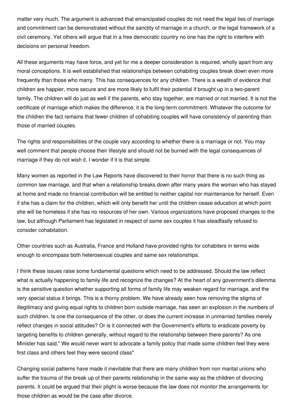matter very much. The argument is advanced that emancipated couples do not need the legal ties of marriage and commitment can be demonstrated without the sanctity of marriage in a church, or the legal framework of a civil ceremony. Yet others will argue that in a free democratic country no one has the right to interfere with decisions on personal freedom.

All these arguments may have force, and yet for me a deeper consideration is required, wholly apart from any moral conceptions. It is well established that relationships between cohabiting couples break down even more frequently than those who marry. This has consequences for any children. There is a wealth of evidence that children are happier, more secure and are more likely to fulfil their potential if brought up in a two-parent family. The children will do just as well if the parents, who stay together, are married or not married. It is not the certificate of marriage which makes the difference, it is the long-term commitment. Whatever the outcome for the children the fact remains that fewer children of cohabiting couples will have consistency of parenting than those of married couples.

The rights and responsibilities of the couple vary according to whether there is a marriage or not. You may well comment that people choose their lifestyle and should not be burned with the legal consequences of marriage if they do not wish it. I wonder if it is that simple.

Many women as reported in the Law Reports have discovered to their horror that there is no such thing as common law marriage, and that when a relationship breaks down after many years the woman who has stayed at home and made no financial contribution will be entitled to neither capital nor maintenance for herself. Even if she has a claim for the children, which will only benefit her until the children cease education at which point she will be homeless if she has no resources of her own. Various organizations have proposed changes to the law, but although Parliament has legislated in respect of same sex couples it has steadfastly refused to consider cohabitation.

Other countries such as Australia, France and Holland have provided rights for cohabiters in terms wide enough to encompass both heterosexual couples and same sex relationships.

I think these issues raise some fundamental questions which need to be addressed. Should the law reflect what is actually happening to family life and recognize the changes? At the heart of any government's dilemma is the sensitive question whether supporting all forms of family life may weaken regard for marriage, and the very special status it brings. This is a thorny problem. We have already seen how removing the stigma of illegitimacy and giving equal rights to children born outside marriage, has seen an explosion in the numbers of such children. Is one the consequence of the other, or does the current increase in unmarried families merely reflect changes in social attitudes? Or is it connected with the Government's efforts to eradicate poverty by targeting benefits to children generally, without regard to the relationship between there parents? As one Minister has said," We would never want to advocate a family policy that made some children feel they were first class and others feel they were second class"

Changing social patterns have made it inevitable that there are many children from non marital unions who suffer the trauma of the break up of their parents relationship in the same way as the children of divorcing parents. It could be argued that their plight is worse because the law does not monitor the arrangements for those children as would be the case after divorce.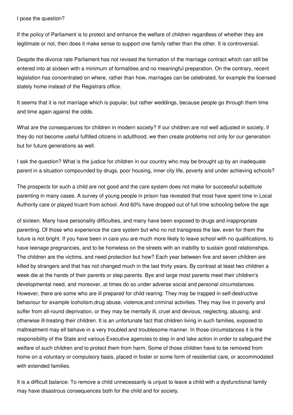## I pose the question?

If the policy of Parliament is to protect and enhance the welfare of children regardless of whether they are legitimate or not, then does it make sense to support one family rather than the other. It is controversial.

Despite the divorce rate Parliament has not revised the formation of the marriage contract which can still be entered into at sixteen with a minimum of formalities and no meaningful preparation. On the contrary, recent legislation has concentrated on where, rather than how, marriages can be celebrated, for example the licensed stately home instead of the Registrars office.

It seems that it is not marriage which is popular, but rather weddings, because people go through them time and time again against the odds.

What are the consequences for children in modern society? If our children are not well adjusted in society, if they do not become useful fulfilled citizens in adulthood, we then create problems not only for our generation but for future generations as well.

I ask the question? What is the justice for children in our country who may be brought up by an inadequate parent in a situation compounded by drugs, poor housing, inner city life, poverty and under achieving schools?

The prospects for such a child are not good and the care system does not make for successful substitute parenting in many cases. A survey of young people in prison has revealed that most have spent time in Local Authority care or played truant from school. And 60% have dropped out of full time schooling before the age

of sixteen. Many have personality difficulties, and many have been exposed to drugs and inappropriate parenting. Of those who experience the care system but who no not transgress the law, even for them the future is not bright. If you have been in care you are much more likely to leave school with no qualifications, to have teenage pregnancies, and to be homeless on the streets with an inability to sustain good relationships. The children are the victims, and need protection but how? Each year between five and seven children are killed by strangers and that has not changed much in the last thirty years. By contrast at least two children a week die at the hands of their parents or step parents. Bye and large most parents meet their children's developmental need, and moreover, at times do so under adverse social and personal circumstances. However, there are some who are ill prepared for child rearing: They may be trapped in self-destructive behaviour for example lcoholism,drug abuse, violence,and criminal activities. They may live in poverty and suffer from all-round deprivation, or they may be mentally ill, cruel and devious, neglecting, abusing, and otherwise ill-treating their children. It is an unfortunate fact that children living in such families, exposed to maltreatment may ell behave in a very troubled and troublesome manner. In those circumstances it is the responsibility of the State and various Executive agencies to step in and take action in order to safeguard the welfare of such children and to protect them from harm. Some of those children have to be removed from home on a voluntary or compulsory basis, placed in foster or some form of residential care, or accommodated with extended families

It is a difficult balance: To remove a child unnecessarily is unjust to leave a child with a dysfunctional family may have disastrous consequences both for the child and for society.